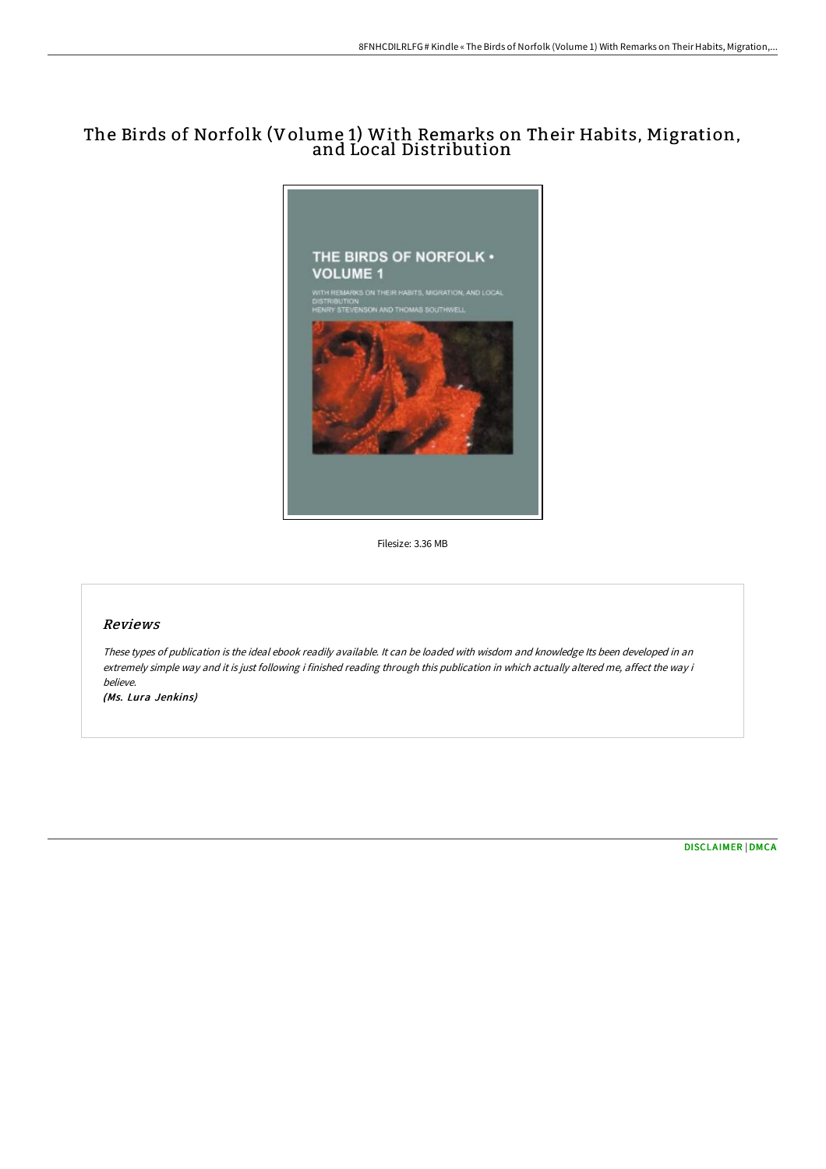## The Birds of Norfolk (Volume 1) With Remarks on Their Habits, Migration, and Local Distribution



Filesize: 3.36 MB

## Reviews

These types of publication is the ideal ebook readily available. It can be loaded with wisdom and knowledge Its been developed in an extremely simple way and it is just following i finished reading through this publication in which actually altered me, affect the way i believe.

(Ms. Lura Jenkins)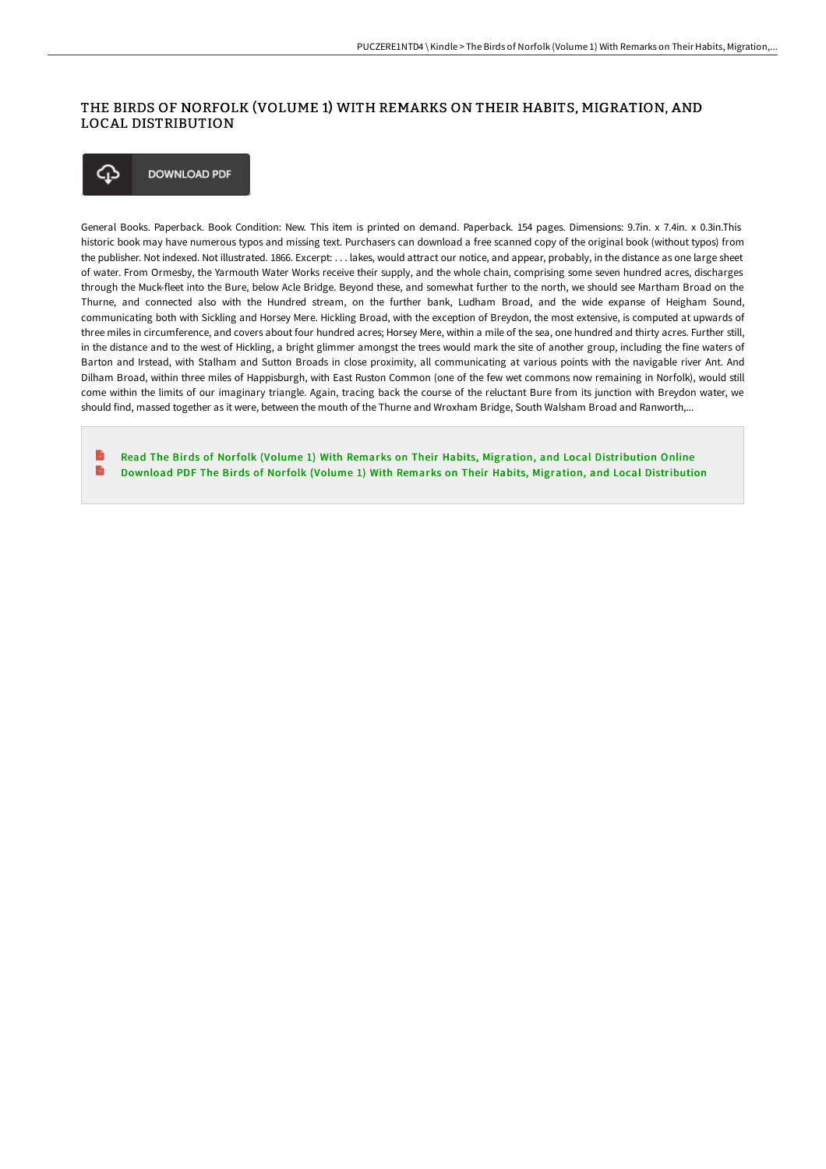## THE BIRDS OF NORFOLK (VOLUME 1) WITH REMARKS ON THEIR HABITS, MIGRATION, AND LOCAL DISTRIBUTION

⊕ **DOWNLOAD PDF** 

General Books. Paperback. Book Condition: New. This item is printed on demand. Paperback. 154 pages. Dimensions: 9.7in. x 7.4in. x 0.3in.This historic book may have numerous typos and missing text. Purchasers can download a free scanned copy of the original book (without typos) from the publisher. Not indexed. Not illustrated. 1866. Excerpt: . . . lakes, would attract our notice, and appear, probably, in the distance as one large sheet of water. From Ormesby, the Yarmouth Water Works receive their supply, and the whole chain, comprising some seven hundred acres, discharges through the Muck-fleet into the Bure, below Acle Bridge. Beyond these, and somewhat further to the north, we should see Martham Broad on the Thurne, and connected also with the Hundred stream, on the further bank, Ludham Broad, and the wide expanse of Heigham Sound, communicating both with Sickling and Horsey Mere. Hickling Broad, with the exception of Breydon, the most extensive, is computed at upwards of three miles in circumference, and covers about four hundred acres; Horsey Mere, within a mile of the sea, one hundred and thirty acres. Further still, in the distance and to the west of Hickling, a bright glimmer amongst the trees would mark the site of another group, including the fine waters of Barton and Irstead, with Stalham and Sutton Broads in close proximity, all communicating at various points with the navigable river Ant. And Dilham Broad, within three miles of Happisburgh, with East Ruston Common (one of the few wet commons now remaining in Norfolk), would still come within the limits of our imaginary triangle. Again, tracing back the course of the reluctant Bure from its junction with Breydon water, we should find, massed together as it were, between the mouth of the Thurne and Wroxham Bridge, South Walsham Broad and Ranworth,...

Read The Birds of Norfolk (Volume 1) With Remarks on Their Habits, Migration, and Local [Distribution](http://www.bookdirs.com/the-birds-of-norfolk-volume-1-with-remarks-on-th.html) Online B Download PDF The Birds of Norfolk (Volume 1) With Remarks on Their Habits, Migration, and Local [Distribution](http://www.bookdirs.com/the-birds-of-norfolk-volume-1-with-remarks-on-th.html)